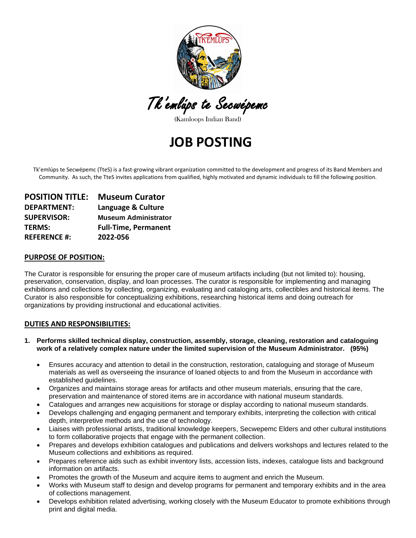

Tk'emlúps te Secwépemc

(Kamloops Indian Band)

## **JOB POSTING**

Tk'emlúps te Secwépemc (TteS) is a fast-growing vibrant organization committed to the development and progress of its Band Members and Community. As such, the TteS invites applications from qualified, highly motivated and dynamic individuals to fill the following position.

| <b>POSITION TITLE:</b> | <b>Museum Curator</b>       |
|------------------------|-----------------------------|
| <b>DEPARTMENT:</b>     | Language & Culture          |
| <b>SUPERVISOR:</b>     | <b>Museum Administrator</b> |
| <b>TERMS:</b>          | <b>Full-Time, Permanent</b> |
| <b>REFERENCE #:</b>    | 2022-056                    |

#### **PURPOSE OF POSITION:**

The Curator is responsible for ensuring the proper care of museum artifacts including (but not limited to): housing, preservation, conservation, display, and loan processes. The curator is responsible for implementing and managing exhibitions and collections by collecting, organizing, evaluating and cataloging arts, collectibles and historical items. The Curator is also responsible for conceptualizing exhibitions, researching historical items and doing outreach for organizations by providing instructional and educational activities.

#### **DUTIES AND RESPONSIBILITIES:**

- **1. Performs skilled technical display, construction, assembly, storage, cleaning, restoration and cataloguing work of a relatively complex nature under the limited supervision of the Museum Administrator. (95%)** 
	- Ensures accuracy and attention to detail in the construction, restoration, cataloguing and storage of Museum materials as well as overseeing the insurance of loaned objects to and from the Museum in accordance with established guidelines.
	- Organizes and maintains storage areas for artifacts and other museum materials, ensuring that the care, preservation and maintenance of stored items are in accordance with national museum standards.
	- Catalogues and arranges new acquisitions for storage or display according to national museum standards.
	- Develops challenging and engaging permanent and temporary exhibits, interpreting the collection with critical depth, interpretive methods and the use of technology.
	- Liaises with professional artists, traditional knowledge keepers, Secwepemc Elders and other cultural institutions to form collaborative projects that engage with the permanent collection.
	- Prepares and develops exhibition catalogues and publications and delivers workshops and lectures related to the Museum collections and exhibitions as required.
	- Prepares reference aids such as exhibit inventory lists, accession lists, indexes, catalogue lists and background information on artifacts.
	- Promotes the growth of the Museum and acquire items to augment and enrich the Museum.
	- Works with Museum staff to design and develop programs for permanent and temporary exhibits and in the area of collections management.
	- Develops exhibition related advertising, working closely with the Museum Educator to promote exhibitions through print and digital media.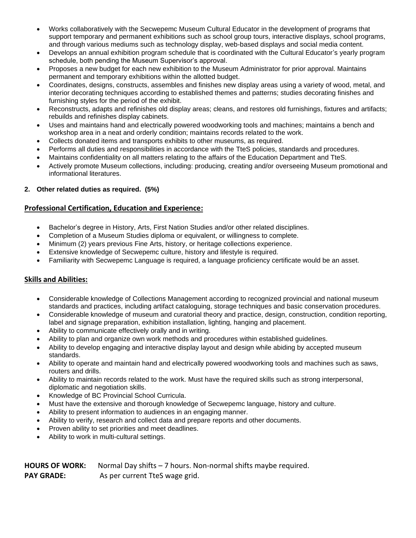- Works collaboratively with the Secwepemc Museum Cultural Educator in the development of programs that support temporary and permanent exhibitions such as school group tours, interactive displays, school programs, and through various mediums such as technology display, web-based displays and social media content.
- Develops an annual exhibition program schedule that is coordinated with the Cultural Educator's yearly program schedule, both pending the Museum Supervisor's approval.
- Proposes a new budget for each new exhibition to the Museum Administrator for prior approval. Maintains permanent and temporary exhibitions within the allotted budget.
- Coordinates, designs, constructs, assembles and finishes new display areas using a variety of wood, metal, and interior decorating techniques according to established themes and patterns; studies decorating finishes and furnishing styles for the period of the exhibit.
- Reconstructs, adapts and refinishes old display areas; cleans, and restores old furnishings, fixtures and artifacts; rebuilds and refinishes display cabinets.
- Uses and maintains hand and electrically powered woodworking tools and machines; maintains a bench and workshop area in a neat and orderly condition; maintains records related to the work.
- Collects donated items and transports exhibits to other museums, as required.
- Performs all duties and responsibilities in accordance with the TteS policies, standards and procedures.
- Maintains confidentiality on all matters relating to the affairs of the Education Department and TteS.
- Actively promote Museum collections, including: producing, creating and/or overseeing Museum promotional and informational literatures.

#### **2. Other related duties as required. (5%)**

#### **Professional Certification, Education and Experience:**

- Bachelor's degree in History, Arts, First Nation Studies and/or other related disciplines.
- Completion of a Museum Studies diploma or equivalent, or willingness to complete.
- Minimum (2) years previous Fine Arts, history, or heritage collections experience.
- Extensive knowledge of Secwepemc culture, history and lifestyle is required.
- Familiarity with Secwepemc Language is required, a language proficiency certificate would be an asset.

### **Skills and Abilities:**

- Considerable knowledge of Collections Management according to recognized provincial and national museum standards and practices, including artifact cataloguing, storage techniques and basic conservation procedures.
- Considerable knowledge of museum and curatorial theory and practice, design, construction, condition reporting, label and signage preparation, exhibition installation, lighting, hanging and placement.
- Ability to communicate effectively orally and in writing.
- Ability to plan and organize own work methods and procedures within established guidelines.
- Ability to develop engaging and interactive display layout and design while abiding by accepted museum standards.
- Ability to operate and maintain hand and electrically powered woodworking tools and machines such as saws, routers and drills.
- Ability to maintain records related to the work. Must have the required skills such as strong interpersonal, diplomatic and negotiation skills.
- Knowledge of BC Provincial School Curricula.
- Must have the extensive and thorough knowledge of Secwepemc language, history and culture.
- Ability to present information to audiences in an engaging manner.
- Ability to verify, research and collect data and prepare reports and other documents.
- Proven ability to set priorities and meet deadlines.
- Ability to work in multi-cultural settings.

| <b>HOURS OF WORK:</b> | Normal Day shifts $-7$ hours. Non-normal shifts maybe required. |
|-----------------------|-----------------------------------------------------------------|
| <b>PAY GRADE:</b>     | As per current TteS wage grid.                                  |